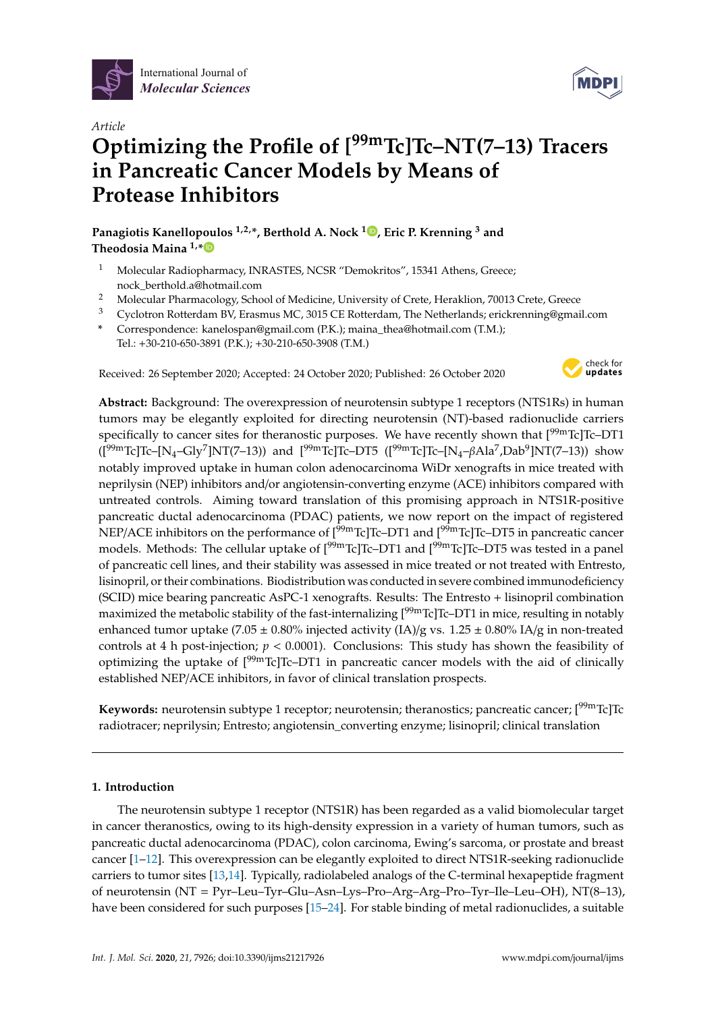



# *Article* **Optimizing the Profile of [99mTc]Tc–NT(7–13) Tracers in Pancreatic Cancer Models by Means of Protease Inhibitors**

**Panagiotis Kanellopoulos 1,2,\*, Berthold A. Nock <sup>1</sup> [,](https://orcid.org/0000-0002-6028-9112) Eric P. Krenning <sup>3</sup> and Theodosia Maina 1,[\\*](https://orcid.org/0000-0002-1123-2486)**

- <sup>1</sup> Molecular Radiopharmacy, INRASTES, NCSR "Demokritos", 15341 Athens, Greece; nock\_berthold.a@hotmail.com
- <sup>2</sup> Molecular Pharmacology, School of Medicine, University of Crete, Heraklion, 70013 Crete, Greece<br><sup>3</sup> Cyclotron Batterdam BV Fracmus MC 3015 CE Botterdam. The Netherlands: erickronning@email
- <sup>3</sup> Cyclotron Rotterdam BV, Erasmus MC, 3015 CE Rotterdam, The Netherlands; erickrenning@gmail.com
- **\*** Correspondence: kanelospan@gmail.com (P.K.); maina\_thea@hotmail.com (T.M.);
- Tel.: +30-210-650-3891 (P.K.); +30-210-650-3908 (T.M.)

Received: 26 September 2020; Accepted: 24 October 2020; Published: 26 October 2020



**Abstract:** Background: The overexpression of neurotensin subtype 1 receptors (NTS1Rs) in human tumors may be elegantly exploited for directing neurotensin (NT)-based radionuclide carriers specifically to cancer sites for theranostic purposes. We have recently shown that  $[99mTc]Tc$ –DT1 ( $[199 \text{m} \text{Tc}]$ Tc–[N<sub>4</sub>–Gly<sup>7</sup>]NT(7–13)) and  $[199 \text{m} \text{Tc}]$ Tc–DT5 ( $[199 \text{m} \text{Tc}]$ Tc–[N<sub>4</sub>– $\beta$ Ala<sup>7</sup>,Dab<sup>9</sup>]NT(7–13)) show notably improved uptake in human colon adenocarcinoma WiDr xenografts in mice treated with neprilysin (NEP) inhibitors and/or angiotensin-converting enzyme (ACE) inhibitors compared with untreated controls. Aiming toward translation of this promising approach in NTS1R-positive pancreatic ductal adenocarcinoma (PDAC) patients, we now report on the impact of registered NEP/ACE inhibitors on the performance of  $[{}^{99m}Tc]Tc-DT1$  and  $[{}^{99m}Tc]Tc-DT5$  in pancreatic cancer models. Methods: The cellular uptake of  $[99mTc]Tc-DT1$  and  $[99mTc]Tc-DT5$  was tested in a panel of pancreatic cell lines, and their stability was assessed in mice treated or not treated with Entresto, lisinopril, or their combinations. Biodistribution was conducted in severe combined immunodeficiency (SCID) mice bearing pancreatic AsPC-1 xenografts. Results: The Entresto + lisinopril combination maximized the metabolic stability of the fast-internalizing [<sup>99m</sup>Tc]Tc–DT1 in mice, resulting in notably enhanced tumor uptake (7.05  $\pm$  0.80% injected activity (IA)/g vs. 1.25  $\pm$  0.80% IA/g in non-treated controls at 4 h post-injection; *p* < 0.0001). Conclusions: This study has shown the feasibility of optimizing the uptake of  $[99mTc]Tc-DT1$  in pancreatic cancer models with the aid of clinically established NEP/ACE inhibitors, in favor of clinical translation prospects.

Keywords: neurotensin subtype 1 receptor; neurotensin; theranostics; pancreatic cancer; [<sup>99m</sup>Tc]Tc radiotracer; neprilysin; Entresto; angiotensin\_converting enzyme; lisinopril; clinical translation

# **1. Introduction**

The neurotensin subtype 1 receptor (NTS1R) has been regarded as a valid biomolecular target in cancer theranostics, owing to its high-density expression in a variety of human tumors, such as pancreatic ductal adenocarcinoma (PDAC), colon carcinoma, Ewing's sarcoma, or prostate and breast cancer [\[1](#page-10-0)[–12\]](#page-11-0). This overexpression can be elegantly exploited to direct NTS1R-seeking radionuclide carriers to tumor sites [\[13,](#page-11-1)[14\]](#page-11-2). Typically, radiolabeled analogs of the C-terminal hexapeptide fragment of neurotensin (NT = Pyr–Leu–Tyr–Glu–Asn–Lys–Pro–Arg–Arg–Pro–Tyr–Ile–Leu–OH), NT(8–13), have been considered for such purposes [\[15–](#page-11-3)[24\]](#page-11-4). For stable binding of metal radionuclides, a suitable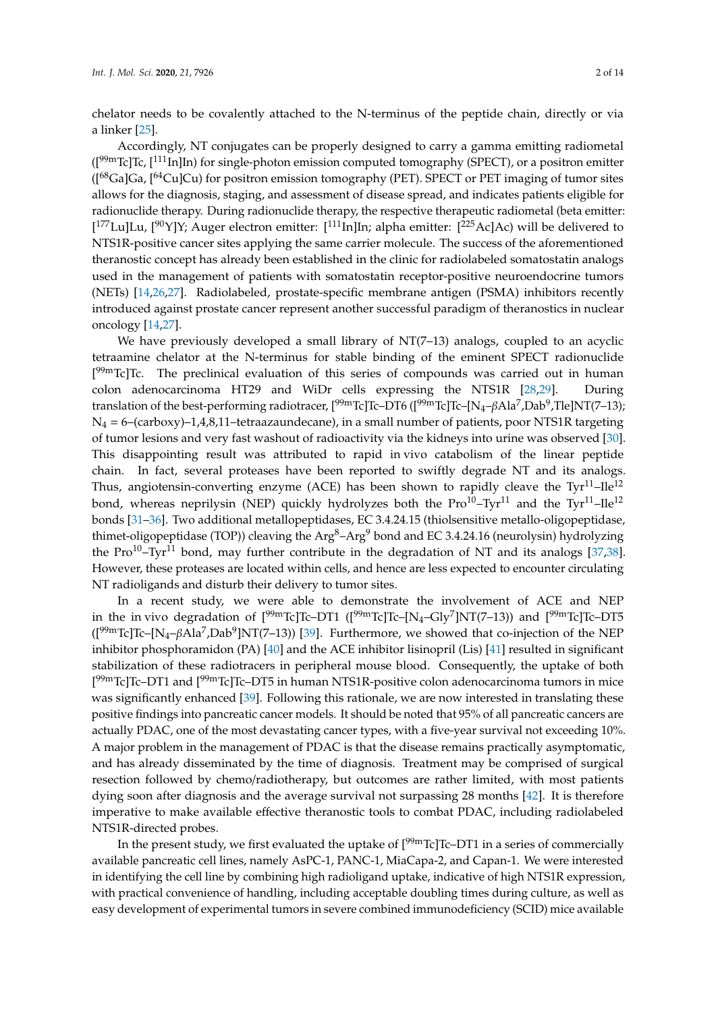chelator needs to be covalently attached to the N-terminus of the peptide chain, directly or via a linker [\[25\]](#page-12-0).

Accordingly, NT conjugates can be properly designed to carry a gamma emitting radiometal  $([{}^{99m}Tc]Tc, [{}^{111}In]In)$  for single-photon emission computed tomography (SPECT), or a positron emitter ([68Ga]Ga, [64Cu]Cu) for positron emission tomography (PET). SPECT or PET imaging of tumor sites allows for the diagnosis, staging, and assessment of disease spread, and indicates patients eligible for radionuclide therapy. During radionuclide therapy, the respective therapeutic radiometal (beta emitter: [<sup>177</sup>Lu]Lu, [<sup>90</sup>Y]Y; Auger electron emitter: [<sup>111</sup>In]In; alpha emitter: [<sup>225</sup>Ac]Ac) will be delivered to NTS1R-positive cancer sites applying the same carrier molecule. The success of the aforementioned theranostic concept has already been established in the clinic for radiolabeled somatostatin analogs used in the management of patients with somatostatin receptor-positive neuroendocrine tumors (NETs) [\[14,](#page-11-2)[26,](#page-12-1)[27\]](#page-12-2). Radiolabeled, prostate-specific membrane antigen (PSMA) inhibitors recently introduced against prostate cancer represent another successful paradigm of theranostics in nuclear oncology [\[14](#page-11-2)[,27\]](#page-12-2).

We have previously developed a small library of NT(7-13) analogs, coupled to an acyclic tetraamine chelator at the N-terminus for stable binding of the eminent SPECT radionuclide [<sup>99m</sup>Tc]Tc. The preclinical evaluation of this series of compounds was carried out in human colon adenocarcinoma HT29 and WiDr cells expressing the NTS1R [\[28,](#page-12-3)[29\]](#page-12-4). During translation of the best-performing radiotracer, [<sup>99m</sup>Tc]Tc–DT6 ([<sup>99m</sup>Tc]Tc–[N<sub>4</sub>–βAla<sup>7</sup>,Dab<sup>9</sup>,Tle]NT(7–13);  $N_4 = 6$ –(carboxy)–1,4,8,11–tetraazaundecane), in a small number of patients, poor NTS1R targeting of tumor lesions and very fast washout of radioactivity via the kidneys into urine was observed [\[30\]](#page-12-5). This disappointing result was attributed to rapid in vivo catabolism of the linear peptide chain. In fact, several proteases have been reported to swiftly degrade NT and its analogs. Thus, angiotensin-converting enzyme (ACE) has been shown to rapidly cleave the  $Tyr^{11}-Ile^{12}$ bond, whereas neprilysin (NEP) quickly hydrolyzes both the  $Pro^{10}$ –Tyr<sup>11</sup> and the Tyr<sup>11</sup>–Ile<sup>12</sup> bonds [\[31](#page-12-6)[–36\]](#page-12-7). Two additional metallopeptidases, EC 3.4.24.15 (thiolsensitive metallo-oligopeptidase, thimet-oligopeptidase (TOP)) cleaving the  $Arg^8$ –Arg<sup>9</sup> bond and EC 3.4.24.16 (neurolysin) hydrolyzing the Pro<sup>10</sup>–Tyr<sup>11</sup> bond, may further contribute in the degradation of NT and its analogs [\[37,](#page-12-8)[38\]](#page-12-9). However, these proteases are located within cells, and hence are less expected to encounter circulating NT radioligands and disturb their delivery to tumor sites.

In a recent study, we were able to demonstrate the involvement of ACE and NEP in the invivo degradation of  $[^{99 \rm m}$ Tc]Tc–DT1 ( $[^{99 \rm m}$ Tc]Tc–[N<sub>4</sub>–Gly<sup>7</sup>]NT(7–13)) and  $[^{99 \rm m}$ Tc]Tc–DT5  $($ [<sup>99m</sup>Tc]Tc–[N<sub>4</sub>– $\beta$ Ala<sup>7</sup>,Dab<sup>9</sup>]NT(7–13)) [\[39\]](#page-12-10). Furthermore, we showed that co-injection of the NEP inhibitor phosphoramidon (PA) [\[40\]](#page-12-11) and the ACE inhibitor lisinopril (Lis) [\[41\]](#page-12-12) resulted in significant stabilization of these radiotracers in peripheral mouse blood. Consequently, the uptake of both [<sup>99m</sup>Tc]Tc–DT1 and [<sup>99m</sup>Tc]Tc–DT5 in human NTS1R-positive colon adenocarcinoma tumors in mice was significantly enhanced [\[39\]](#page-12-10). Following this rationale, we are now interested in translating these positive findings into pancreatic cancer models. It should be noted that 95% of all pancreatic cancers are actually PDAC, one of the most devastating cancer types, with a five-year survival not exceeding 10%. A major problem in the management of PDAC is that the disease remains practically asymptomatic, and has already disseminated by the time of diagnosis. Treatment may be comprised of surgical resection followed by chemo/radiotherapy, but outcomes are rather limited, with most patients dying soon after diagnosis and the average survival not surpassing 28 months [\[42\]](#page-12-13). It is therefore imperative to make available effective theranostic tools to combat PDAC, including radiolabeled NTS1R-directed probes.

In the present study, we first evaluated the uptake of  $[<sup>99m</sup>Tc]Tc-DT1$  in a series of commercially available pancreatic cell lines, namely AsPC-1, PANC-1, MiaCapa-2, and Capan-1. We were interested in identifying the cell line by combining high radioligand uptake, indicative of high NTS1R expression, with practical convenience of handling, including acceptable doubling times during culture, as well as easy development of experimental tumors in severe combined immunodeficiency (SCID) mice available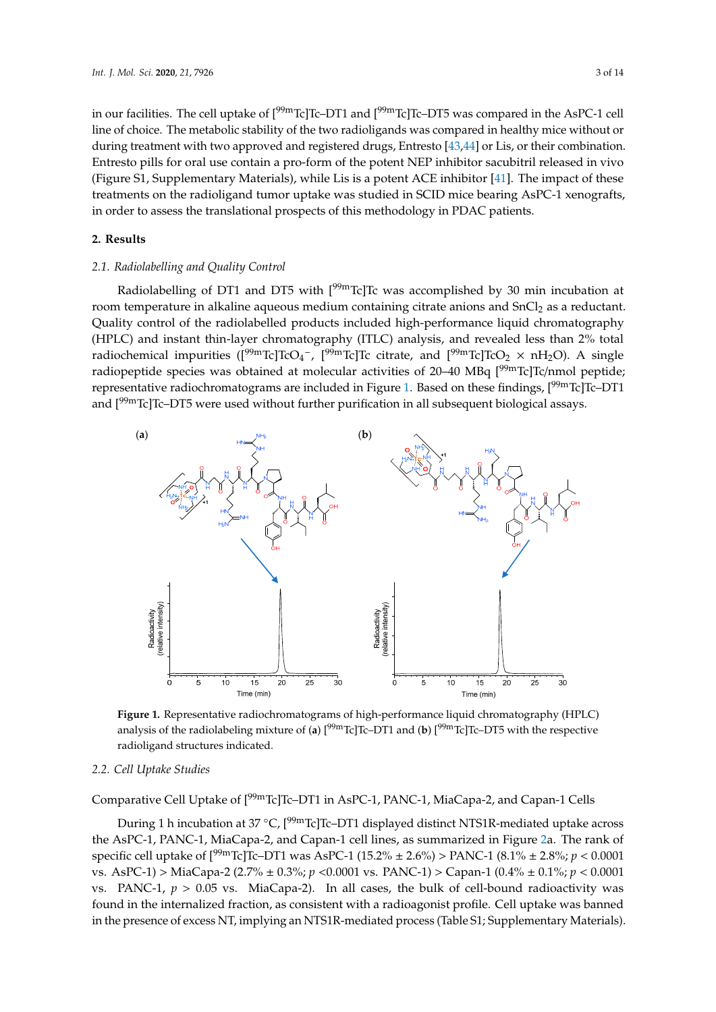in our facilities. The cell uptake of  $[{}^{99m}Tc]Tc-DT1$  and  $[{}^{99m}Tc]Tc-DT5$  was compared in the AsPC-1 cell line of choice. The metabolic stability of the two radioligands was compared in healthy mice without or during treatment with two approved and registered drugs, Entresto [\[43](#page-12-14)[,44\]](#page-12-15) or Lis, or their combination. Entresto pills for oral use contain a pro-form of the potent NEP inhibitor sacubitril released in vivo (Figure S1, Supplementary Materials), while Lis is a potent ACE inhibitor [\[41\]](#page-12-12). The impact of these treatments on the radioligand tumor uptake was studied in SCID mice bearing AsPC-1 xenografts, in order to assess the translational prospects of this methodology in PDAC patients.

## **2. Results**

## *2.1. Radiolabelling and Quality Control*

Radiolabelling of DT1 and DT5 with [<sup>99m</sup>Tc]Tc was accomplished by 30 min incubation at room temperature in alkaline aqueous medium containing citrate anions and SnCl<sub>2</sub> as a reductant. Quality control of the radiolabelled products included high-performance liquid chromatography (HPLC) and instant thin-layer chromatography (ITLC) analysis, and revealed less than 2% total  $r^2$ radiochemical impurities  $(I^{99m}Tc]TcO_4^-$ ,  $I^{99m}Tc]Tc$  citrate, and  $I^{99m}Tc]TcO_2 \times nH_2O$ . A single radiopeptide species was obtained at molecular activities of 20–40 MBq [<sup>99m</sup>Tc]Tc/nmol peptide; representative radiochromatograms are included in Figure 1. Based on [the](#page-2-0)se findings, [<sup>99m</sup>Tc]Tc–DT1 and [<sup>99m</sup>Tc]Tc–DT5 were used without further purification in all subsequent biological assays. control of the radiolabelled products included high-performance liquid chromatography

<span id="page-2-0"></span>

analysis of the radiolabeling mixture of (**a**) [<sup>99m</sup>Tc]Tc–DT1 and (**b**) [<sup>99m</sup>Tc]Tc–DT5 with the respective radioligand structures indicated. **The radiolism of the respective of the respective of the respective of the r Figure 1.** Representative radiochromatograms of high-performance liquid chromatography (HPLC)

# 2.2. Cell Uptake Studies

*2.2. Cell Uptake Studies*  Comparative Cell Uptake of [99mTc]Tc–DT1 in AsPC-1, PANC-1, MiaCapa-2, and Capan-1 Cells

During 1 h incubation at 37 °C, [<sup>99m</sup>Tc]Tc–DT1 displayed distinct NTS1R-mediated uptake across the AsPC-1, PANC-1, MiaCapa-2, and Capan-1 cell lines, as summarized in Figure 2a. The rank of specific cell uptake of  $[^{99m}$ Tc]Tc–DT1 was AsPC-1 (15.2%  $\pm$  2.6%) > PANC-1 (8.1%  $\pm$  2.8%;  $p < 0.0001$ vs. AsPC-1) > MiaCapa-2 (2.7% ± 0.3%; *p* <0.0001 vs. PANC-1) > Capan-1 (0.4% ± 0.1%; *p* < 0.0001 vs. PANC-1,  $p > 0.05$  vs. MiaCapa-2). In all cases, the bulk of cell-bound radioactivity was found in the internalized fraction, as consistent with a radioagonist profile. Cell uptake was banned recepce of excess NT implying an NTS1P modiated process (Table S1: Supplementary Materials in the presence of excess NT, implying an NTS1R-mediated process (Table S1; Supplementary Materials).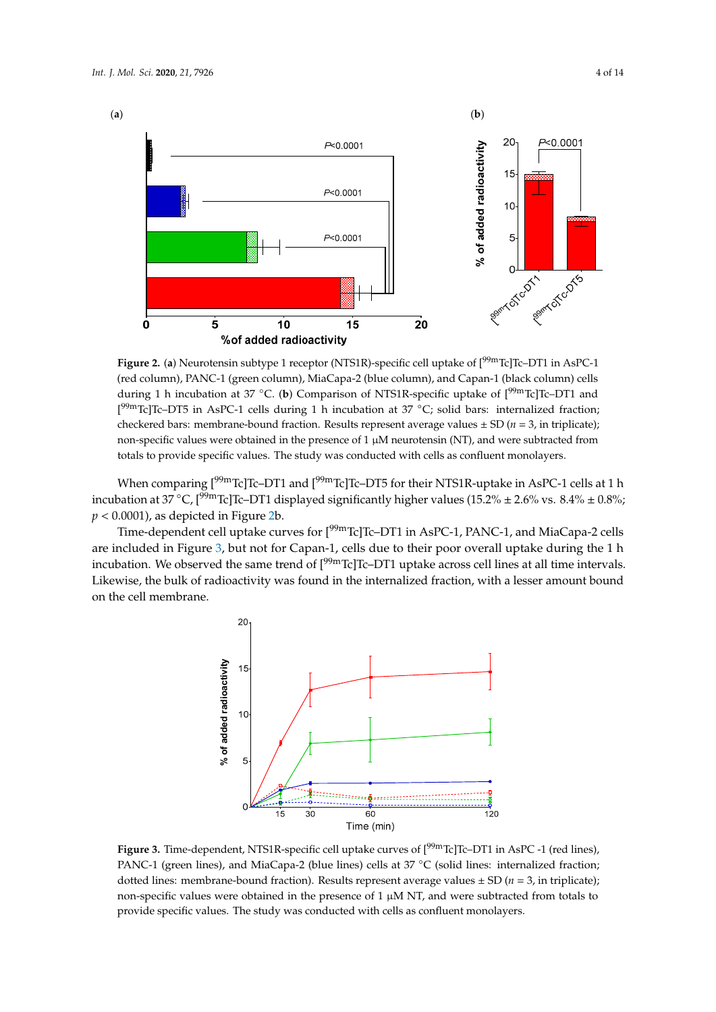<span id="page-3-0"></span>

(red column), PANC-1 (green column), MiaCapa-2 (blue column), and Capan-1 (black column) cells during 1 h incubation at 37 °C. (**b**) Comparison of NTS1R-specific uptake of [<sup>99m</sup>Tc]Tc–DT1 and  $\overline{C}$ [<sup>99m</sup>Tc]Tc-DT5 in AsPC-1 cells during 1 h incubation at 37 °C; solid bars: internalized fraction; checkered bars: membrane-bound fraction. Results represent average values  $\pm$  SD ( $n = 3$ , in triplicate); non-specific values were obtained in the presence of  $1 \mu$ M neurotensin (NT), and were subtracted from totals to provide specific values. The study was conducted with cells as confluent monolayers. Figure 2. (a) Neurotensin subtype 1 receptor (NTS1R)-specific cell uptake of  $[99mTc]Tc-DT1$  in AsPC-1

When comparing [<sup>99m</sup>Tc]Tc-DT1 and [<sup>99m</sup>Tc]Tc-DT5 for their NTS1R-uptake in AsPC-1 cells at 1 h incubation at  $37^{\circ}$ C, [<sup>99m</sup>Tc]Tc-DT1 displayed significantly higher values (15.2%  $\pm$  2.6% vs. 8.4%  $\pm$  0.8%;  $p < 0.0001$ , as depicted in Figure [2b](#page-3-0).  $\alpha$  values comparing  $\alpha$  in the presence of  $\alpha$  in the presence of  $\alpha$  is neuroteneous  $\alpha$  in the presence of  $\alpha$ 

 $Time-dependent cell uptake curves for [99mTc]Tc-DT1 in AsPC-1, PANC-1, and MiaCapa-2 cells$ are included in Figur[e 3](#page-3-1), but not for Capan-1, cells due to their poor overall uptake during the 1 h incubation. We observed the same trend of  $[99m]$ Tc]Tc-DT1 uptake across cell lines at all time intervals. Likewise, the bulk of radioactivity was found in the internalized fraction, with a lesser amount bound on the cell membrane. on the cell membrane.

<span id="page-3-1"></span>

Figure 3. Time-dependent, NTS1R-specific cell uptake curves of [<sup>99m</sup>Tc]Tc–DT1 in AsPC -1 (red lines), PANC-1 (green lines), and MiaCapa-2 (blue lines) cells at  $37^{\circ}$ C (solid lines: internalized fraction; dotted lines: membrane-bound fraction). Results represent average values  $\pm$  SD (*n* = 3, in triplicate); non-specific values were obtained in the presence of 1 µM NT, and were subtracted from totals to provide specific values. The study was conducted with cells as confluent monolayers.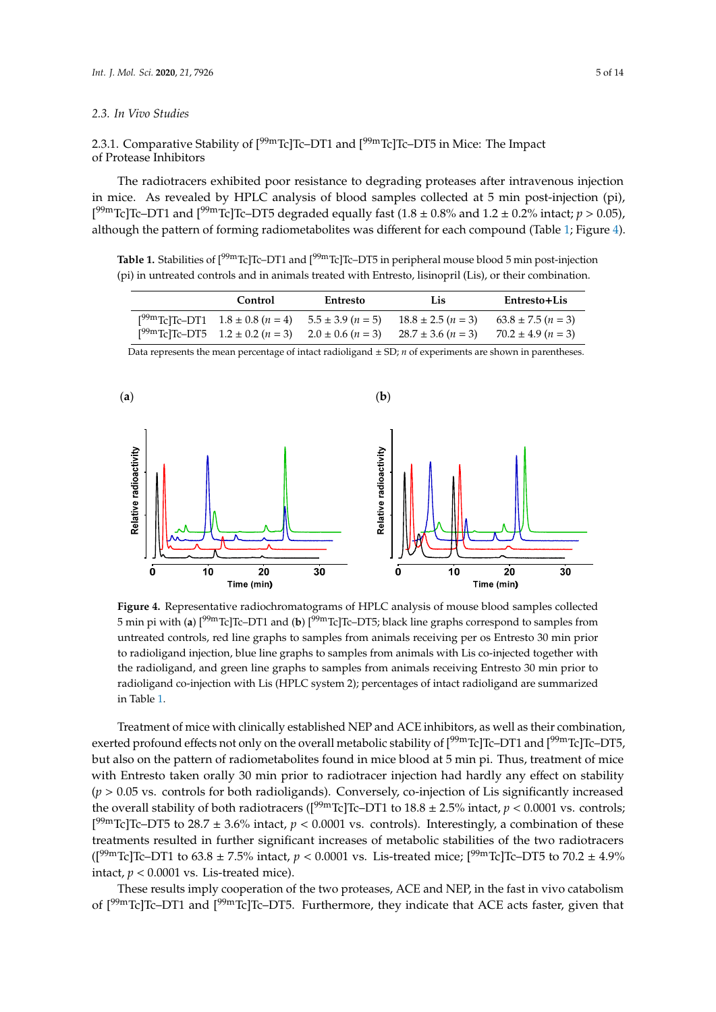#### *2.3. In Vivo Studies*  **Control Entresto Lis Entresto+Lis**

2.3.1. Comparative Stability of [<sup>99m</sup>Tc]Tc–DT1 and [<sup>99m</sup>Tc]Tc–DT5 in Mice: The Impact of Protease Inhibitors [99mTc]Tc–DT5 1.2 ± 0.2 (*n* = 3) 2.0 ± 0.6 (*n* = 3) 28.7 ± 3.6 (*n* = 3) 70.2 ± 4.9 (*n* = 3)

The radiotracers exhibited poor resistance to degrading proteases after intravenous injection in mice. As revealed by HPLC analysis of blood samples collected at 5 min post-injection (pi),  $[1^{99} \text{mTc}]$ Tc–DT1 and  $[1^{99} \text{mTc}]$ Tc–DT5 degraded equally fast  $(1.8 \pm 0.8\%$  and  $1.2 \pm 0.2\%$  intact;  $p > 0.05$ ), although the pattern of forming radiometabolites was different for each compound (Table [1;](#page-4-0) Figure [4\)](#page-4-1).

<span id="page-4-0"></span>Table 1. Stabilities of [<sup>99m</sup>Tc]Tc–DT1 and [<sup>99m</sup>Tc]Tc–DT5 in peripheral mouse blood 5 min post-injection (pi) in untreated controls and in animals treated with Entresto, lisinopril (Lis), or their combination. on stability (*p* > 0.05 vs. controls for both radioligands). Conversely, co-injection of Lis significantly

| Control | Entresto | Lis.                                                                                                                | Entresto+Lis |
|---------|----------|---------------------------------------------------------------------------------------------------------------------|--------------|
|         |          | $[^{99m}\text{Te}]\text{Te-DT1}$ 1.8 ± 0.8 (n = 4) 5.5 ± 3.9 (n = 5) 18.8 ± 2.5 (n = 3) 63.8 ± 7.5 (n = 3)          |              |
|         |          | $[{}^{99m}\text{Te}]\text{Te}-\text{DT5}$ 1.2 ± 0.2 (n = 3) 2.0 ± 0.6 (n = 3) 28.7 ± 3.6 (n = 3) 70.2 ± 4.9 (n = 3) |              |

<span id="page-4-1"></span>

Data represents the mean percentage of intact radioligand  $\pm$  SD; *n* of experiments are shown in parentheses.

5 min pi with (**a**) [<sup>99m</sup>Tc]Tc–DT1 and (**b**) [<sup>99m</sup>Tc]Tc–DT5; black line graphs correspond to samples from untreated controls, red line graphs to samples from animals receiving per os Entresto 30 min prior to radioligand injection, blue line graphs to samples from animals with Lis co-injected together with the radioligand, and green line graphs to samples from animals receiving Entresto 30 min prior to radioligand co-injection with Lis (HPLC system 2); percentages of intact radioligand are summarized **Figure 4.** Representative radiochromatograms of HPLC analysis of mouse blood samples collected in Table [1.](#page-4-0)

Treatment of mice with clinically established NEP and ACE inhibitors, as well as their combination, exerted profound effects not only on the overall metabolic stability of  $[99mTc]Tc-DT1$  and  $[99mTc]Tc-DT5$ , but also on the pattern of radiometabolites found in mice blood at 5 min pi. Thus, treatment of mice with Entresto taken orally 30 min prior to radiotracer injection had hardly any effect on stability  $(p > 0.05$  vs. controls for both radioligands). Conversely, co-injection of Lis significantly increased the overall stability of both radiotracers ( $[{}^{99m}$ Tc]Tc–DT1 to  $18.8 \pm 2.5\%$  intact,  $p < 0.0001$  vs. controls; [<sup>99m</sup>Tc]Tc–DT5 to 28.7  $\pm$  3.6% intact,  $p < 0.0001$  vs. controls). Interestingly, a combination of these treatments resulted in further significant increases of metabolic stabilities of the two radiotracers  $(1^{99m}Tc)Tc$ –DT1 to 63.8 ± 7.5% intact,  $p < 0.0001$  vs. Lis-treated mice;  $[^{99m}Tc]Tc$ –DT5 to 70.2 ± 4.9% intact,  $p < 0.0001$  vs. Lis-treated mice).

These results imply cooperation of the two proteases, ACE and NEP, in the fast in vivo catabolism of  $[99mTc]Tc-DT1$  and  $[99mTc]Tc-DT5$ . Furthermore, they indicate that ACE acts faster, given that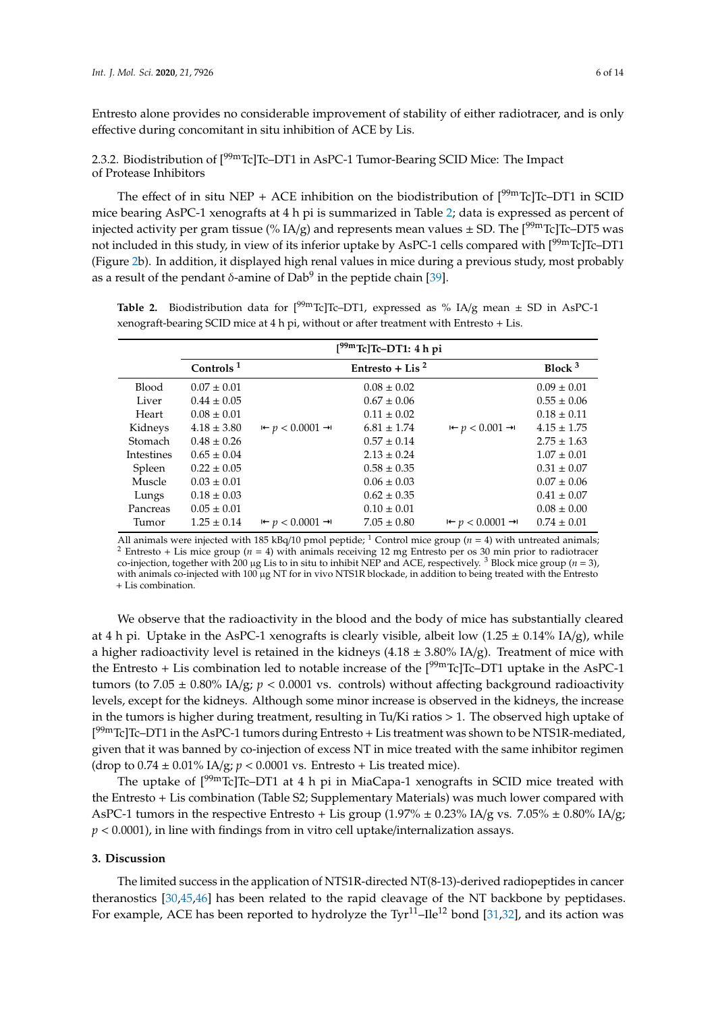Entresto alone provides no considerable improvement of stability of either radiotracer, and is only effective during concomitant in situ inhibition of ACE by Lis.

2.3.2. Biodistribution of  $[<sup>99m</sup>Tc]$ Tc–DT1 in AsPC-1 Tumor-Bearing SCID Mice: The Impact of Protease Inhibitors

The effect of in situ NEP + ACE inhibition on the biodistribution of  $[99mTc]Tc-DT1$  in SCID mice bearing AsPC-1 xenografts at 4 h pi is summarized in Table [2;](#page-5-0) data is expressed as percent of injected activity per gram tissue (% IA/g) and represents mean values  $\pm$  SD. The [<sup>99m</sup>Tc]Tc–DT5 was not included in this study, in view of its inferior uptake by AsPC-1 cells compared with [<sup>99m</sup>Tc]Tc–DT1 (Figure [2b](#page-3-0)). In addition, it displayed high renal values in mice during a previous study, most probably as a result of the pendant  $\delta$ -amine of Dab $^9$  in the peptide chain [\[39\]](#page-12-10).

<span id="page-5-0"></span>**Table 2.** Biodistribution data for  $[{}^{99m}$ Tc]Tc–DT1, expressed as % IA/g mean  $\pm$  SD in AsPC-1 xenograft-bearing SCID mice at 4 h pi, without or after treatment with Entresto + Lis.

|                | $[{}^{99m}$ Tc]Tc-DT1: 4 h pi |                                       |                             |                                       |                 |  |  |  |
|----------------|-------------------------------|---------------------------------------|-----------------------------|---------------------------------------|-----------------|--|--|--|
|                | Controls <sup>1</sup>         |                                       | Entresto + Lis <sup>2</sup> |                                       | Block $3$       |  |  |  |
| <b>Blood</b>   | $0.07 \pm 0.01$               |                                       | $0.08 \pm 0.02$             |                                       | $0.09 \pm 0.01$ |  |  |  |
| Liver          | $0.44 \pm 0.05$               |                                       | $0.67 \pm 0.06$             |                                       | $0.55 \pm 0.06$ |  |  |  |
| Heart          | $0.08 \pm 0.01$               |                                       | $0.11 \pm 0.02$             |                                       | $0.18 \pm 0.11$ |  |  |  |
| Kidneys        | $4.18 \pm 3.80$               | $\theta$ + $p$ < 0.0001 $\rightarrow$ | $6.81 \pm 1.74$             | $\theta$ + $p$ < 0.001 $\rightarrow$  | $4.15 \pm 1.75$ |  |  |  |
| <b>Stomach</b> | $0.48 \pm 0.26$               |                                       | $0.57 \pm 0.14$             |                                       | $2.75 \pm 1.63$ |  |  |  |
| Intestines     | $0.65 \pm 0.04$               |                                       | $2.13 \pm 0.24$             |                                       | $1.07 \pm 0.01$ |  |  |  |
| Spleen         | $0.22 \pm 0.05$               |                                       | $0.58 \pm 0.35$             |                                       | $0.31 \pm 0.07$ |  |  |  |
| Muscle         | $0.03 \pm 0.01$               |                                       | $0.06 \pm 0.03$             |                                       | $0.07 \pm 0.06$ |  |  |  |
| Lungs          | $0.18 \pm 0.03$               |                                       | $0.62 \pm 0.35$             |                                       | $0.41 \pm 0.07$ |  |  |  |
| Pancreas       | $0.05 \pm 0.01$               |                                       | $0.10 \pm 0.01$             |                                       | $0.08 \pm 0.00$ |  |  |  |
| Tumor          | $1.25 \pm 0.14$               | $\theta$ + $p$ < 0.0001 $\rightarrow$ | $7.05 \pm 0.80$             | $\theta$ + $p$ < 0.0001 $\rightarrow$ | $0.74 \pm 0.01$ |  |  |  |

All animals were injected with 185 kBq/10 pmol peptide; <sup>1</sup> Control mice group ( $n = 4$ ) with untreated animals; <sup>2</sup> Entresto + Lis mice group ( $n = 4$ ) with animals receiving 12 mg Entresto per os 30 min prior to radiotracer co-injection, together with 200 µg Lis to in situ to inhibit NEP and ACE, respectively.<sup>3</sup> Block mice group ( $n = 3$ ), with animals co-injected with 100 µg NT for in vivo NTS1R blockade, in addition to being treated with the Entresto + Lis combination.

We observe that the radioactivity in the blood and the body of mice has substantially cleared at 4 h pi. Uptake in the AsPC-1 xenografts is clearly visible, albeit low  $(1.25 \pm 0.14\% \text{ IA/g})$ , while a higher radioactivity level is retained in the kidneys  $(4.18 \pm 3.80\% \text{ IA/g})$ . Treatment of mice with the Entresto + Lis combination led to notable increase of the  $[99mTc]Tc$ –DT1 uptake in the AsPC-1 tumors (to 7.05  $\pm$  0.80% IA/g;  $p < 0.0001$  vs. controls) without affecting background radioactivity levels, except for the kidneys. Although some minor increase is observed in the kidneys, the increase in the tumors is higher during treatment, resulting in Tu/Ki ratios  $> 1$ . The observed high uptake of [<sup>99m</sup>Tc]Tc–DT1 in the AsPC-1 tumors during Entresto + Lis treatment was shown to be NTS1R-mediated, given that it was banned by co-injection of excess NT in mice treated with the same inhibitor regimen (drop to  $0.74 \pm 0.01\%$  IA/g;  $p < 0.0001$  vs. Entresto + Lis treated mice).

The uptake of  $[99mTc]Tc-DT1$  at 4 h pi in MiaCapa-1 xenografts in SCID mice treated with the Entresto + Lis combination (Table S2; Supplementary Materials) was much lower compared with AsPC-1 tumors in the respective Entresto + Lis group (1.97%  $\pm$  0.23% IA/g vs. 7.05%  $\pm$  0.80% IA/g; *p* < 0.0001), in line with findings from in vitro cell uptake/internalization assays.

## **3. Discussion**

The limited success in the application of NTS1R-directed NT(8-13)-derived radiopeptides in cancer theranostics [\[30,](#page-12-5)[45,](#page-12-16)[46\]](#page-13-0) has been related to the rapid cleavage of the NT backbone by peptidases. For example, ACE has been reported to hydrolyze the  $Tyr^{11}$ -Ile<sup>12</sup> bond [\[31,](#page-12-6)[32\]](#page-12-17), and its action was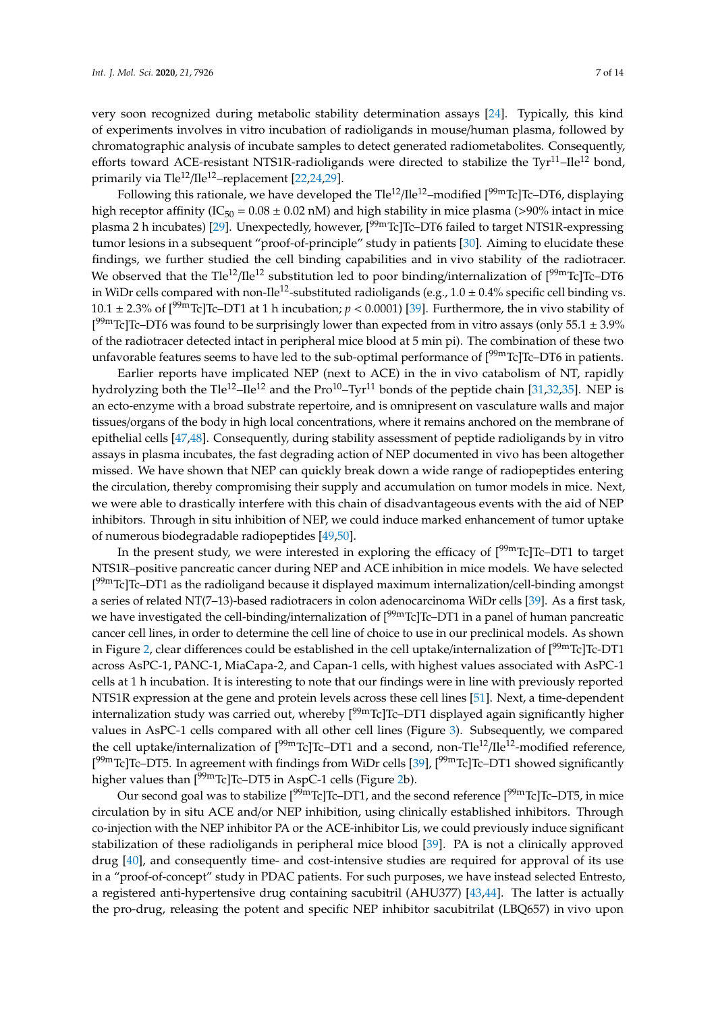very soon recognized during metabolic stability determination assays [\[24\]](#page-11-4). Typically, this kind of experiments involves in vitro incubation of radioligands in mouse/human plasma, followed by chromatographic analysis of incubate samples to detect generated radiometabolites. Consequently, efforts toward ACE-resistant NTS1R-radioligands were directed to stabilize the Tyr $^{11}$ –Ile<sup>12</sup> bond, primarily via Tle<sup>12</sup>/Ile<sup>12</sup>–replacement [\[22](#page-11-5)[,24](#page-11-4)[,29\]](#page-12-4).

Following this rationale, we have developed the  $Tle^{12}/Ile^{12}$ –modified  $[99mTc]Tc$ –DT6, displaying high receptor affinity (IC<sub>50</sub> = 0.08  $\pm$  0.02 nM) and high stability in mice plasma (>90% intact in mice plasma 2 h incubates) [\[29\]](#page-12-4). Unexpectedly, however, [<sup>99m</sup>Tc]Tc-DT6 failed to target NTS1R-expressing tumor lesions in a subsequent "proof-of-principle" study in patients [\[30\]](#page-12-5). Aiming to elucidate these findings, we further studied the cell binding capabilities and in vivo stability of the radiotracer. We observed that the Tle<sup>12</sup>/Ile<sup>12</sup> substitution led to poor binding/internalization of  $[99m]$ Tc]Tc–DT6 in WiDr cells compared with non-Ile<sup>12</sup>-substituted radioligands (e.g.,  $1.0 \pm 0.4\%$  specific cell binding vs. 10.1  $\pm$  2.3% of [<sup>99m</sup>Tc]Tc–DT1 at 1 h incubation;  $p$  < 0.0001) [\[39\]](#page-12-10). Furthermore, the in vivo stability of  $[<sup>99m</sup>$ Tc]Tc–DT6 was found to be surprisingly lower than expected from in vitro assays (only 55.1  $\pm$  3.9% of the radiotracer detected intact in peripheral mice blood at 5 min pi). The combination of these two unfavorable features seems to have led to the sub-optimal performance of [<sup>99m</sup>Tc]Tc–DT6 in patients.

Earlier reports have implicated NEP (next to ACE) in the in vivo catabolism of NT, rapidly hydrolyzing both the Tle<sup>12</sup>–Ile<sup>12</sup> and the Pro<sup>10</sup>–Tyr<sup>11</sup> bonds of the peptide chain [\[31](#page-12-6)[,32,](#page-12-17)[35\]](#page-12-18). NEP is an ecto-enzyme with a broad substrate repertoire, and is omnipresent on vasculature walls and major tissues/organs of the body in high local concentrations, where it remains anchored on the membrane of epithelial cells [\[47,](#page-13-1)[48\]](#page-13-2). Consequently, during stability assessment of peptide radioligands by in vitro assays in plasma incubates, the fast degrading action of NEP documented in vivo has been altogether missed. We have shown that NEP can quickly break down a wide range of radiopeptides entering the circulation, thereby compromising their supply and accumulation on tumor models in mice. Next, we were able to drastically interfere with this chain of disadvantageous events with the aid of NEP inhibitors. Through in situ inhibition of NEP, we could induce marked enhancement of tumor uptake of numerous biodegradable radiopeptides [\[49,](#page-13-3)[50\]](#page-13-4).

In the present study, we were interested in exploring the efficacy of  $[99mTc]Tc$ –DT1 to target NTS1R–positive pancreatic cancer during NEP and ACE inhibition in mice models. We have selected [<sup>99m</sup>Tc]Tc–DT1 as the radioligand because it displayed maximum internalization/cell-binding amongst a series of related NT(7–13)-based radiotracers in colon adenocarcinoma WiDr cells [\[39\]](#page-12-10). As a first task, we have investigated the cell-binding/internalization of  $[99mTc]Tc$ –DT1 in a panel of human pancreatic cancer cell lines, in order to determine the cell line of choice to use in our preclinical models. As shown in Figure [2,](#page-3-0) clear differences could be established in the cell uptake/internalization of  $[99mTc]Tc$ -DT1 across AsPC-1, PANC-1, MiaCapa-2, and Capan-1 cells, with highest values associated with AsPC-1 cells at 1 h incubation. It is interesting to note that our findings were in line with previously reported NTS1R expression at the gene and protein levels across these cell lines [\[51\]](#page-13-5). Next, a time-dependent internalization study was carried out, whereby  $[99mTc]Tc-DT1$  displayed again significantly higher values in AsPC-1 cells compared with all other cell lines (Figure [3\)](#page-3-1). Subsequently, we compared the cell uptake/internalization of  $[99mTc]Tc$ –DT1 and a second, non-Tle<sup>12</sup>/Ile<sup>12</sup>-modified reference, [<sup>99m</sup>Tc]Tc–DT5. In agreement with findings from WiDr cells [\[39\]](#page-12-10), [<sup>99m</sup>Tc]Tc–DT1 showed significantly higher values than  $[<sup>99m</sup>Tc]$ Tc–DT5 in AspC-1 cells (Figure [2b](#page-3-0)).

Our second goal was to stabilize [<sup>99m</sup>Tc]Tc–DT1, and the second reference [<sup>99m</sup>Tc]Tc–DT5, in mice circulation by in situ ACE and/or NEP inhibition, using clinically established inhibitors. Through co-injection with the NEP inhibitor PA or the ACE-inhibitor Lis, we could previously induce significant stabilization of these radioligands in peripheral mice blood [\[39\]](#page-12-10). PA is not a clinically approved drug [\[40\]](#page-12-11), and consequently time- and cost-intensive studies are required for approval of its use in a "proof-of-concept" study in PDAC patients. For such purposes, we have instead selected Entresto, a registered anti-hypertensive drug containing sacubitril (AHU377) [\[43,](#page-12-14)[44\]](#page-12-15). The latter is actually the pro-drug, releasing the potent and specific NEP inhibitor sacubitrilat (LBQ657) in vivo upon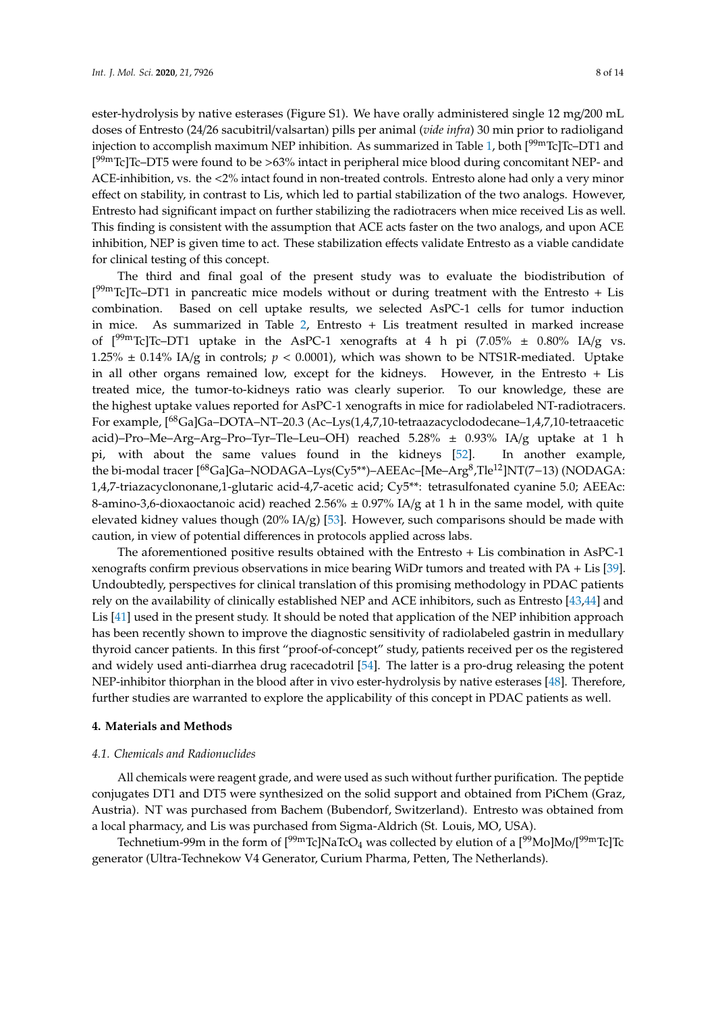ester-hydrolysis by native esterases (Figure S1). We have orally administered single 12 mg/200 mL doses of Entresto (24/26 sacubitril/valsartan) pills per animal (*vide infra*) 30 min prior to radioligand injection to accomplish maximum NEP inhibition. As summarized in Table [1,](#page-4-0) both  $[^{99m}$ Tc]Tc–DT1 and [<sup>99m</sup>Tc]Tc–DT5 were found to be >63% intact in peripheral mice blood during concomitant NEP- and ACE-inhibition, vs. the <2% intact found in non-treated controls. Entresto alone had only a very minor effect on stability, in contrast to Lis, which led to partial stabilization of the two analogs. However, Entresto had significant impact on further stabilizing the radiotracers when mice received Lis as well. This finding is consistent with the assumption that ACE acts faster on the two analogs, and upon ACE inhibition, NEP is given time to act. These stabilization effects validate Entresto as a viable candidate for clinical testing of this concept.

The third and final goal of the present study was to evaluate the biodistribution of  $[<sup>99m</sup>$ Tc]Tc–DT1 in pancreatic mice models without or during treatment with the Entresto + Lis combination. Based on cell uptake results, we selected AsPC-1 cells for tumor induction in mice. As summarized in Table [2,](#page-5-0) Entresto + Lis treatment resulted in marked increase of  $[99m]$ Tc]Tc–DT1 uptake in the AsPC-1 xenografts at 4 h pi (7.05%  $\pm$  0.80% IA/g vs. 1.25%  $\pm$  0.14% IA/g in controls;  $p < 0.0001$ ), which was shown to be NTS1R-mediated. Uptake in all other organs remained low, except for the kidneys. However, in the Entresto + Lis treated mice, the tumor-to-kidneys ratio was clearly superior. To our knowledge, these are the highest uptake values reported for AsPC-1 xenografts in mice for radiolabeled NT-radiotracers. For example, [68Ga]Ga–DOTA–NT–20.3 (Ac–Lys(1,4,7,10-tetraazacyclododecane–1,4,7,10-tetraacetic acid)–Pro–Me–Arg–Arg–Pro–Tyr–Tle–Leu–OH) reached 5.28% ± 0.93% IA/g uptake at 1 h pi, with about the same values found in the kidneys [\[52\]](#page-13-6). In another example, the bi-modal tracer [<sup>68</sup>Ga]Ga–NODAGA–Lys(Cy5\*\*)–AEEAc–[Me–Arg<sup>8</sup>,Tle<sup>12</sup>]NT(7–13) (NODAGA: 1,4,7-triazacyclononane,1-glutaric acid-4,7-acetic acid; Cy5\*\*: tetrasulfonated cyanine 5.0; AEEAc: 8-amino-3,6-dioxaoctanoic acid) reached 2.56%  $\pm$  0.97% IA/g at 1 h in the same model, with quite elevated kidney values though (20% IA/g) [\[53\]](#page-13-7). However, such comparisons should be made with caution, in view of potential differences in protocols applied across labs.

The aforementioned positive results obtained with the Entresto + Lis combination in AsPC-1 xenografts confirm previous observations in mice bearing WiDr tumors and treated with PA + Lis [\[39\]](#page-12-10). Undoubtedly, perspectives for clinical translation of this promising methodology in PDAC patients rely on the availability of clinically established NEP and ACE inhibitors, such as Entresto [\[43,](#page-12-14)[44\]](#page-12-15) and Lis [\[41\]](#page-12-12) used in the present study. It should be noted that application of the NEP inhibition approach has been recently shown to improve the diagnostic sensitivity of radiolabeled gastrin in medullary thyroid cancer patients. In this first "proof-of-concept" study, patients received per os the registered and widely used anti-diarrhea drug racecadotril [\[54\]](#page-13-8). The latter is a pro-drug releasing the potent NEP-inhibitor thiorphan in the blood after in vivo ester-hydrolysis by native esterases [\[48\]](#page-13-2). Therefore, further studies are warranted to explore the applicability of this concept in PDAC patients as well.

#### **4. Materials and Methods**

## *4.1. Chemicals and Radionuclides*

All chemicals were reagent grade, and were used as such without further purification. The peptide conjugates DT1 and DT5 were synthesized on the solid support and obtained from PiChem (Graz, Austria). NT was purchased from Bachem (Bubendorf, Switzerland). Entresto was obtained from a local pharmacy, and Lis was purchased from Sigma-Aldrich (St. Louis, MO, USA).

Technetium-99m in the form of [<sup>99m</sup>Tc]NaTcO<sub>4</sub> was collected by elution of a [<sup>99</sup>Mo]Mo/[<sup>99m</sup>Tc]Tc generator (Ultra-Technekow V4 Generator, Curium Pharma, Petten, The Netherlands).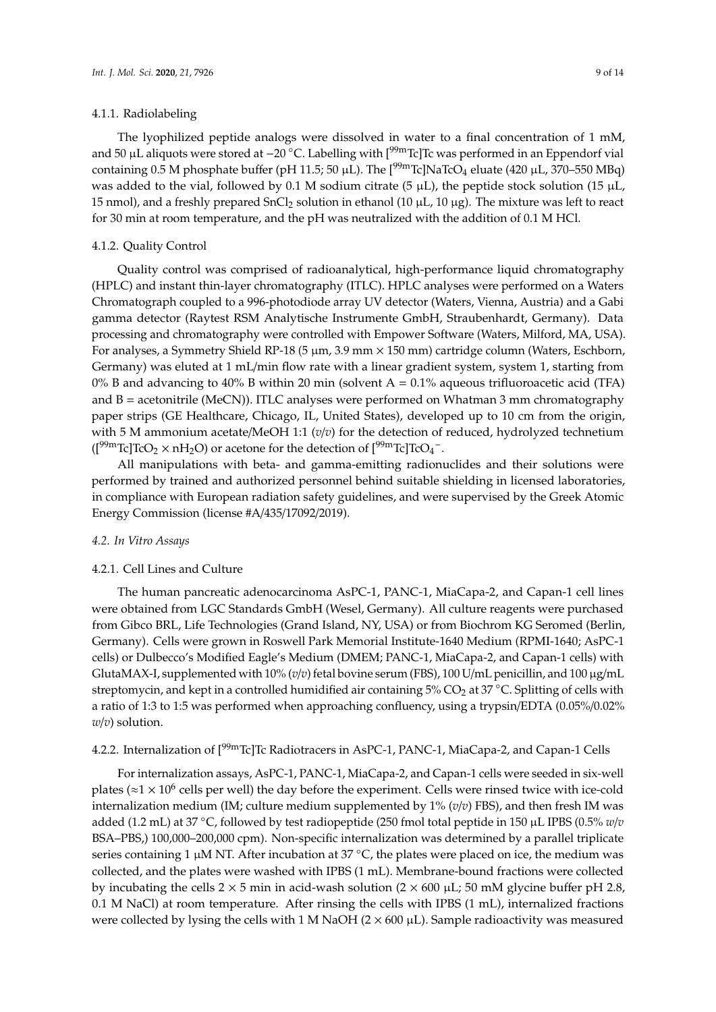## 4.1.1. Radiolabeling

The lyophilized peptide analogs were dissolved in water to a final concentration of 1 mM, and 50 μL aliquots were stored at −20 °C. Labelling with [<sup>99m</sup>Tc]Tc was performed in an Eppendorf vial containing 0.5 M phosphate buffer (pH 11.5; 50 µL). The  $[<sup>99m</sup>Te]NaTeO<sub>4</sub>$  eluate (420 µL, 370–550 MBq) was added to the vial, followed by 0.1 M sodium citrate (5  $\mu$ L), the peptide stock solution (15  $\mu$ L, 15 nmol), and a freshly prepared SnCl<sub>2</sub> solution in ethanol (10  $\mu$ L, 10  $\mu$ g). The mixture was left to react for 30 min at room temperature, and the pH was neutralized with the addition of 0.1 M HCl.

## 4.1.2. Quality Control

Quality control was comprised of radioanalytical, high-performance liquid chromatography (HPLC) and instant thin-layer chromatography (ITLC). HPLC analyses were performed on a Waters Chromatograph coupled to a 996-photodiode array UV detector (Waters, Vienna, Austria) and a Gabi gamma detector (Raytest RSM Analytische Instrumente GmbH, Straubenhardt, Germany). Data processing and chromatography were controlled with Empower Software (Waters, Milford, MA, USA). For analyses, a Symmetry Shield RP-18 (5 µm, 3.9 mm × 150 mm) cartridge column (Waters, Eschborn, Germany) was eluted at 1 mL/min flow rate with a linear gradient system, system 1, starting from 0% B and advancing to 40% B within 20 min (solvent  $A = 0.1\%$  aqueous trifluoroacetic acid (TFA) and  $B =$  acetonitrile (MeCN)). ITLC analyses were performed on Whatman 3 mm chromatography paper strips (GE Healthcare, Chicago, IL, United States), developed up to 10 cm from the origin, with 5 M ammonium acetate/MeOH 1:1 ( $v/v$ ) for the detection of reduced, hydrolyzed technetium  $($ [<sup>99m</sup>Tc]TcO<sub>2</sub>  $\times$  nH<sub>2</sub>O) or acetone for the detection of [<sup>99m</sup>Tc]TcO<sub>4</sub><sup>-</sup>.

All manipulations with beta- and gamma-emitting radionuclides and their solutions were performed by trained and authorized personnel behind suitable shielding in licensed laboratories, in compliance with European radiation safety guidelines, and were supervised by the Greek Atomic Energy Commission (license #A/435/17092/2019).

#### *4.2. In Vitro Assays*

#### 4.2.1. Cell Lines and Culture

The human pancreatic adenocarcinoma AsPC-1, PANC-1, MiaCapa-2, and Capan-1 cell lines were obtained from LGC Standards GmbH (Wesel, Germany). All culture reagents were purchased from Gibco BRL, Life Technologies (Grand Island, NY, USA) or from Biochrom KG Seromed (Berlin, Germany). Cells were grown in Roswell Park Memorial Institute-1640 Medium (RPMI-1640; AsPC-1 cells) or Dulbecco's Modified Eagle's Medium (DMEM; PANC-1, MiaCapa-2, and Capan-1 cells) with GlutaMAX-I, supplemented with  $10\%$  (*v*/*v*) fetal bovine serum (FBS), 100 U/mL penicillin, and 100  $\mu$ g/mL streptomycin, and kept in a controlled humidified air containing  $5\%$  CO<sub>2</sub> at  $37$  °C. Splitting of cells with a ratio of 1:3 to 1:5 was performed when approaching confluency, using a trypsin/EDTA (0.05%/0.02% *w*/*v*) solution.

# 4.2.2. Internalization of [<sup>99m</sup>Tc]Tc Radiotracers in AsPC-1, PANC-1, MiaCapa-2, and Capan-1 Cells

For internalization assays, AsPC-1, PANC-1, MiaCapa-2, and Capan-1 cells were seeded in six-well plates ( $\approx$ 1  $\times$  10<sup>6</sup> cells per well) the day before the experiment. Cells were rinsed twice with ice-cold internalization medium (IM; culture medium supplemented by 1% (*v*/*v*) FBS), and then fresh IM was added (1.2 mL) at 37 ◦C, followed by test radiopeptide (250 fmol total peptide in 150 µL IPBS (0.5% *<sup>w</sup>*/*<sup>v</sup>* BSA–PBS,) 100,000–200,000 cpm). Non-specific internalization was determined by a parallel triplicate series containing 1 μM NT. After incubation at 37 °C, the plates were placed on ice, the medium was collected, and the plates were washed with IPBS (1 mL). Membrane-bound fractions were collected by incubating the cells  $2 \times 5$  min in acid-wash solution  $(2 \times 600 \mu L; 50 \mu M)$  glycine buffer pH 2.8, 0.1 M NaCl) at room temperature. After rinsing the cells with IPBS (1 mL), internalized fractions were collected by lysing the cells with 1 M NaOH ( $2 \times 600 \mu L$ ). Sample radioactivity was measured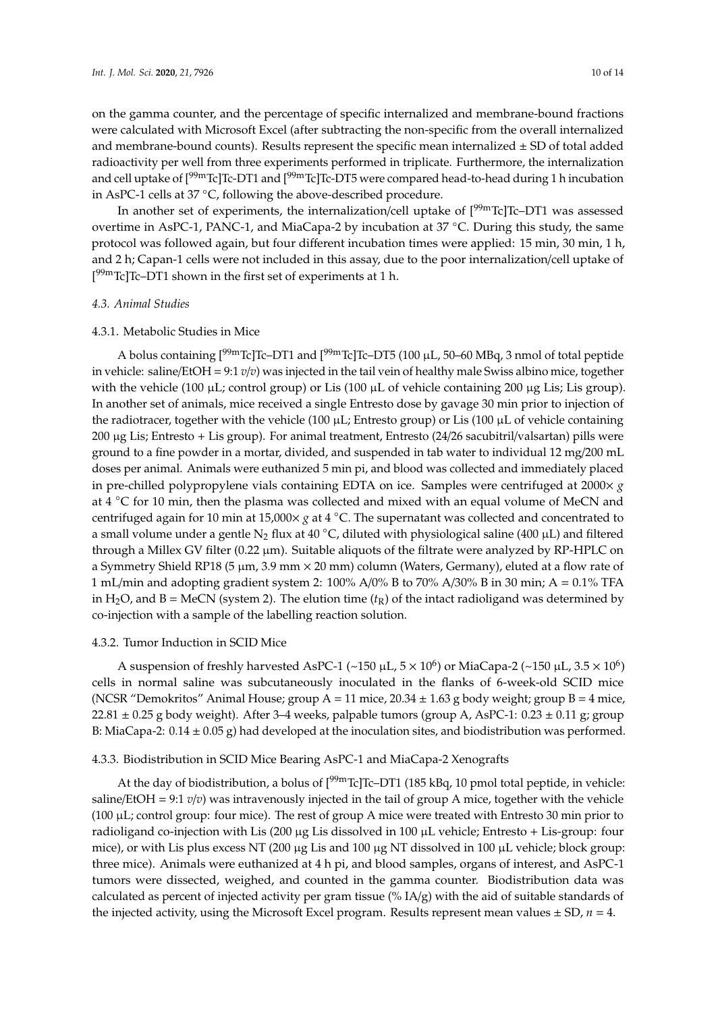on the gamma counter, and the percentage of specific internalized and membrane-bound fractions were calculated with Microsoft Excel (after subtracting the non-specific from the overall internalized and membrane-bound counts). Results represent the specific mean internalized  $\pm$  SD of total added radioactivity per well from three experiments performed in triplicate. Furthermore, the internalization and cell uptake of  $[99mTc]Tc-DT1$  and  $[99mTc]Tc-DT5$  were compared head-to-head during 1 h incubation in AsPC-1 cells at 37 ◦C, following the above-described procedure.

In another set of experiments, the internalization/cell uptake of  $[<sup>99m</sup>Tc]Tc-DT1$  was assessed overtime in AsPC-1, PANC-1, and MiaCapa-2 by incubation at 37 ◦C. During this study, the same protocol was followed again, but four different incubation times were applied: 15 min, 30 min, 1 h, and 2 h; Capan-1 cells were not included in this assay, due to the poor internalization/cell uptake of  $[<sup>99m</sup>$ Tc]Tc–DT1 shown in the first set of experiments at 1 h.

#### *4.3. Animal Studies*

## 4.3.1. Metabolic Studies in Mice

A bolus containing  $[99mTc]Tc-DT1$  and  $[99mTc]Tc-DT5$  (100 µL, 50–60 MBq, 3 nmol of total peptide in vehicle: saline/EtOH = 9:1 *v*/*v*) was injected in the tail vein of healthy male Swiss albino mice, together with the vehicle (100  $\mu$ L; control group) or Lis (100  $\mu$ L of vehicle containing 200  $\mu$ g Lis; Lis group). In another set of animals, mice received a single Entresto dose by gavage 30 min prior to injection of the radiotracer, together with the vehicle (100  $\mu$ L; Entresto group) or Lis (100  $\mu$ L of vehicle containing 200 µg Lis; Entresto + Lis group). For animal treatment, Entresto (24/26 sacubitril/valsartan) pills were ground to a fine powder in a mortar, divided, and suspended in tab water to individual 12 mg/200 mL doses per animal. Animals were euthanized 5 min pi, and blood was collected and immediately placed in pre-chilled polypropylene vials containing EDTA on ice. Samples were centrifuged at  $2000 \times g$ at 4 °C for 10 min, then the plasma was collected and mixed with an equal volume of MeCN and centrifuged again for 10 min at 15,000× *g* at 4 ◦C. The supernatant was collected and concentrated to a small volume under a gentle N<sub>2</sub> flux at 40 °C, diluted with physiological saline (400 µL) and filtered through a Millex GV filter (0.22 µm). Suitable aliquots of the filtrate were analyzed by RP-HPLC on a Symmetry Shield RP18 (5  $\mu$ m, 3.9 mm  $\times$  20 mm) column (Waters, Germany), eluted at a flow rate of 1 mL/min and adopting gradient system 2: 100% A/0% B to 70% A/30% B in 30 min; A = 0.1% TFA in H<sub>2</sub>O, and B = MeCN (system 2). The elution time  $(t_R)$  of the intact radioligand was determined by co-injection with a sample of the labelling reaction solution.

#### 4.3.2. Tumor Induction in SCID Mice

A suspension of freshly harvested AsPC-1 (~150 µL, 5  $\times$  10<sup>6</sup>) or MiaCapa-2 (~150 µL, 3.5  $\times$  10<sup>6</sup>) cells in normal saline was subcutaneously inoculated in the flanks of 6-week-old SCID mice (NCSR "Demokritos" Animal House; group  $A = 11$  mice,  $20.34 \pm 1.63$  g body weight; group  $B = 4$  mice,  $22.81 \pm 0.25$  g body weight). After 3–4 weeks, palpable tumors (group A, AsPC-1:  $0.23 \pm 0.11$  g; group B: MiaCapa-2:  $0.14 \pm 0.05$  g) had developed at the inoculation sites, and biodistribution was performed.

## 4.3.3. Biodistribution in SCID Mice Bearing AsPC-1 and MiaCapa-2 Xenografts

At the day of biodistribution, a bolus of  $[99mTc]Tc-DT1$  (185 kBq, 10 pmol total peptide, in vehicle: saline/EtOH =  $9:1$   $v/v$ ) was intravenously injected in the tail of group A mice, together with the vehicle (100 µL; control group: four mice). The rest of group A mice were treated with Entresto 30 min prior to radioligand co-injection with Lis (200  $\mu$ g Lis dissolved in 100  $\mu$ L vehicle; Entresto + Lis-group: four mice), or with Lis plus excess NT (200 μg Lis and 100 μg NT dissolved in 100 μL vehicle; block group: three mice). Animals were euthanized at 4 h pi, and blood samples, organs of interest, and AsPC-1 tumors were dissected, weighed, and counted in the gamma counter. Biodistribution data was calculated as percent of injected activity per gram tissue (% IA/g) with the aid of suitable standards of the injected activity, using the Microsoft Excel program. Results represent mean values  $\pm$  SD,  $n = 4$ .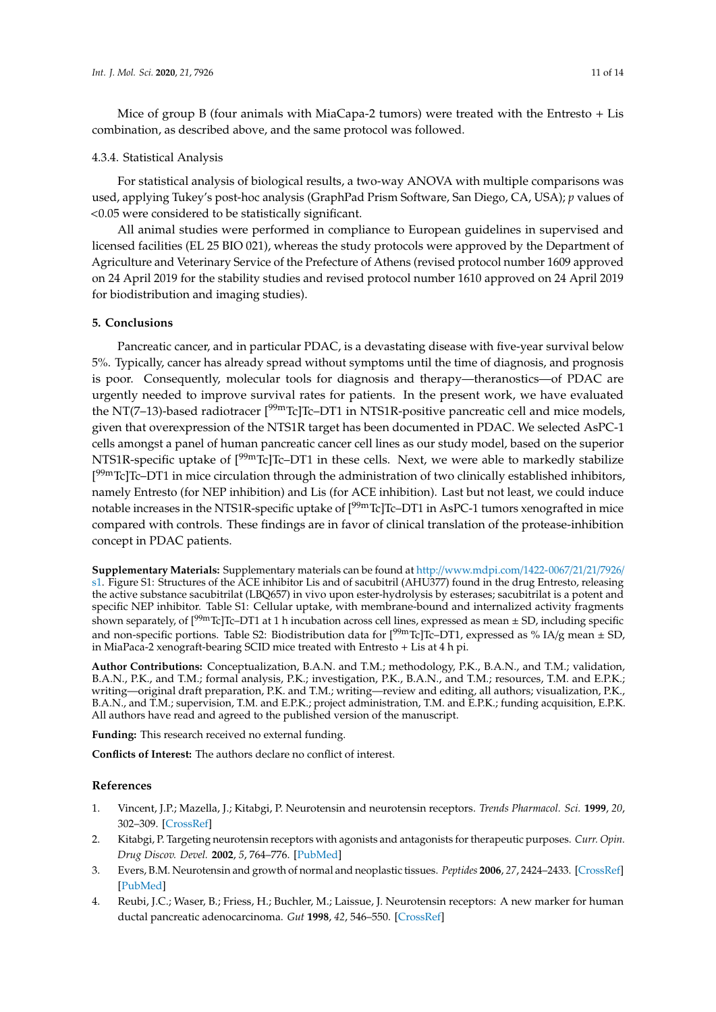Mice of group B (four animals with MiaCapa-2 tumors) were treated with the Entresto + Lis combination, as described above, and the same protocol was followed.

## 4.3.4. Statistical Analysis

For statistical analysis of biological results, a two-way ANOVA with multiple comparisons was used, applying Tukey's post-hoc analysis (GraphPad Prism Software, San Diego, CA, USA); *p* values of <0.05 were considered to be statistically significant.

All animal studies were performed in compliance to European guidelines in supervised and licensed facilities (EL 25 BIO 021), whereas the study protocols were approved by the Department of Agriculture and Veterinary Service of the Prefecture of Athens (revised protocol number 1609 approved on 24 April 2019 for the stability studies and revised protocol number 1610 approved on 24 April 2019 for biodistribution and imaging studies).

# **5. Conclusions**

Pancreatic cancer, and in particular PDAC, is a devastating disease with five-year survival below 5%. Typically, cancer has already spread without symptoms until the time of diagnosis, and prognosis is poor. Consequently, molecular tools for diagnosis and therapy—theranostics—of PDAC are urgently needed to improve survival rates for patients. In the present work, we have evaluated the NT(7-13)-based radiotracer [<sup>99m</sup>Tc]Tc-DT1 in NTS1R-positive pancreatic cell and mice models, given that overexpression of the NTS1R target has been documented in PDAC. We selected AsPC-1 cells amongst a panel of human pancreatic cancer cell lines as our study model, based on the superior NTS1R-specific uptake of  $[{}^{99m}$ Tc]Tc–DT1 in these cells. Next, we were able to markedly stabilize [<sup>99m</sup>Tc]Tc–DT1 in mice circulation through the administration of two clinically established inhibitors, namely Entresto (for NEP inhibition) and Lis (for ACE inhibition). Last but not least, we could induce notable increases in the NTS1R-specific uptake of  $[{}^{99m}$ Tc]Tc–DT1 in AsPC-1 tumors xenografted in mice compared with controls. These findings are in favor of clinical translation of the protease-inhibition concept in PDAC patients.

**Supplementary Materials:** Supplementary materials can be found at http://[www.mdpi.com](http://www.mdpi.com/1422-0067/21/21/7926/s1)/1422-0067/21/21/7926/ [s1.](http://www.mdpi.com/1422-0067/21/21/7926/s1) Figure S1: Structures of the ACE inhibitor Lis and of sacubitril (AHU377) found in the drug Entresto, releasing the active substance sacubitrilat (LBQ657) in vivo upon ester-hydrolysis by esterases; sacubitrilat is a potent and specific NEP inhibitor. Table S1: Cellular uptake, with membrane-bound and internalized activity fragments shown separately, of  $[99mTc]Tc-DT1$  at 1 h incubation across cell lines, expressed as mean  $\pm$  SD, including specific and non-specific portions. Table S2: Biodistribution data for  $[<sup>99m</sup>Tc]Tc-DT1$ , expressed as % IA/g mean  $\pm$  SD, in MiaPaca-2 xenograft-bearing SCID mice treated with Entresto + Lis at 4 h pi.

**Author Contributions:** Conceptualization, B.A.N. and T.M.; methodology, P.K., B.A.N., and T.M.; validation, B.A.N., P.K., and T.M.; formal analysis, P.K.; investigation, P.K., B.A.N., and T.M.; resources, T.M. and E.P.K.; writing—original draft preparation, P.K. and T.M.; writing—review and editing, all authors; visualization, P.K., B.A.N., and T.M.; supervision, T.M. and E.P.K.; project administration, T.M. and E.P.K.; funding acquisition, E.P.K. All authors have read and agreed to the published version of the manuscript.

**Funding:** This research received no external funding.

**Conflicts of Interest:** The authors declare no conflict of interest.

## **References**

- <span id="page-10-0"></span>1. Vincent, J.P.; Mazella, J.; Kitabgi, P. Neurotensin and neurotensin receptors. *Trends Pharmacol. Sci.* **1999**, *20*, 302–309. [\[CrossRef\]](http://dx.doi.org/10.1016/S0165-6147(99)01357-7)
- 2. Kitabgi, P. Targeting neurotensin receptors with agonists and antagonists for therapeutic purposes. *Curr. Opin. Drug Discov. Devel.* **2002**, *5*, 764–776. [\[PubMed\]](http://www.ncbi.nlm.nih.gov/pubmed/12630297)
- 3. Evers, B.M. Neurotensin and growth of normal and neoplastic tissues. *Peptides* **2006**, *27*, 2424–2433. [\[CrossRef\]](http://dx.doi.org/10.1016/j.peptides.2006.01.028) [\[PubMed\]](http://www.ncbi.nlm.nih.gov/pubmed/16904238)
- 4. Reubi, J.C.; Waser, B.; Friess, H.; Buchler, M.; Laissue, J. Neurotensin receptors: A new marker for human ductal pancreatic adenocarcinoma. *Gut* **1998**, *42*, 546–550. [\[CrossRef\]](http://dx.doi.org/10.1136/gut.42.4.546)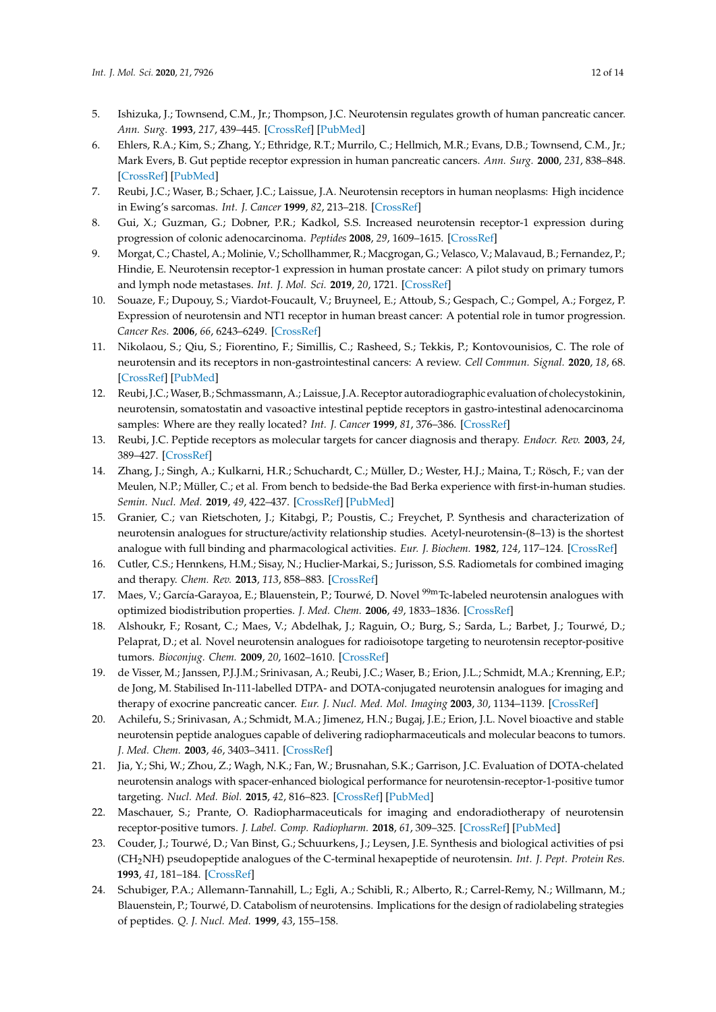- 5. Ishizuka, J.; Townsend, C.M., Jr.; Thompson, J.C. Neurotensin regulates growth of human pancreatic cancer. *Ann. Surg.* **1993**, *217*, 439–445. [\[CrossRef\]](http://dx.doi.org/10.1097/00000658-199305010-00003) [\[PubMed\]](http://www.ncbi.nlm.nih.gov/pubmed/8387763)
- 6. Ehlers, R.A.; Kim, S.; Zhang, Y.; Ethridge, R.T.; Murrilo, C.; Hellmich, M.R.; Evans, D.B.; Townsend, C.M., Jr.; Mark Evers, B. Gut peptide receptor expression in human pancreatic cancers. *Ann. Surg.* **2000**, *231*, 838–848. [\[CrossRef\]](http://dx.doi.org/10.1097/00000658-200006000-00008) [\[PubMed\]](http://www.ncbi.nlm.nih.gov/pubmed/10816627)
- 7. Reubi, J.C.; Waser, B.; Schaer, J.C.; Laissue, J.A. Neurotensin receptors in human neoplasms: High incidence in Ewing's sarcomas. *Int. J. Cancer* **1999**, *82*, 213–218. [\[CrossRef\]](http://dx.doi.org/10.1002/(SICI)1097-0215(19990719)82:2<213::AID-IJC11>3.0.CO;2-8)
- 8. Gui, X.; Guzman, G.; Dobner, P.R.; Kadkol, S.S. Increased neurotensin receptor-1 expression during progression of colonic adenocarcinoma. *Peptides* **2008**, *29*, 1609–1615. [\[CrossRef\]](http://dx.doi.org/10.1016/j.peptides.2008.04.014)
- 9. Morgat, C.; Chastel, A.; Molinie, V.; Schollhammer, R.; Macgrogan, G.; Velasco, V.; Malavaud, B.; Fernandez, P.; Hindie, E. Neurotensin receptor-1 expression in human prostate cancer: A pilot study on primary tumors and lymph node metastases. *Int. J. Mol. Sci.* **2019**, *20*, 1721. [\[CrossRef\]](http://dx.doi.org/10.3390/ijms20071721)
- 10. Souaze, F.; Dupouy, S.; Viardot-Foucault, V.; Bruyneel, E.; Attoub, S.; Gespach, C.; Gompel, A.; Forgez, P. Expression of neurotensin and NT1 receptor in human breast cancer: A potential role in tumor progression. *Cancer Res.* **2006**, *66*, 6243–6249. [\[CrossRef\]](http://dx.doi.org/10.1158/0008-5472.CAN-06-0450)
- 11. Nikolaou, S.; Qiu, S.; Fiorentino, F.; Simillis, C.; Rasheed, S.; Tekkis, P.; Kontovounisios, C. The role of neurotensin and its receptors in non-gastrointestinal cancers: A review. *Cell Commun. Signal.* **2020**, *18*, 68. [\[CrossRef\]](http://dx.doi.org/10.1186/s12964-020-00569-y) [\[PubMed\]](http://www.ncbi.nlm.nih.gov/pubmed/32336282)
- <span id="page-11-0"></span>12. Reubi, J.C.; Waser, B.; Schmassmann, A.; Laissue, J.A. Receptor autoradiographic evaluation of cholecystokinin, neurotensin, somatostatin and vasoactive intestinal peptide receptors in gastro-intestinal adenocarcinoma samples: Where are they really located? *Int. J. Cancer* **1999**, *81*, 376–386. [\[CrossRef\]](http://dx.doi.org/10.1002/(SICI)1097-0215(19990505)81:3<376::AID-IJC11>3.0.CO;2-5)
- <span id="page-11-1"></span>13. Reubi, J.C. Peptide receptors as molecular targets for cancer diagnosis and therapy. *Endocr. Rev.* **2003**, *24*, 389–427. [\[CrossRef\]](http://dx.doi.org/10.1210/er.2002-0007)
- <span id="page-11-2"></span>14. Zhang, J.; Singh, A.; Kulkarni, H.R.; Schuchardt, C.; Müller, D.; Wester, H.J.; Maina, T.; Rösch, F.; van der Meulen, N.P.; Müller, C.; et al. From bench to bedside-the Bad Berka experience with first-in-human studies. *Semin. Nucl. Med.* **2019**, *49*, 422–437. [\[CrossRef\]](http://dx.doi.org/10.1053/j.semnuclmed.2019.06.002) [\[PubMed\]](http://www.ncbi.nlm.nih.gov/pubmed/31470935)
- <span id="page-11-3"></span>15. Granier, C.; van Rietschoten, J.; Kitabgi, P.; Poustis, C.; Freychet, P. Synthesis and characterization of neurotensin analogues for structure/activity relationship studies. Acetyl-neurotensin-(8–13) is the shortest analogue with full binding and pharmacological activities. *Eur. J. Biochem.* **1982**, *124*, 117–124. [\[CrossRef\]](http://dx.doi.org/10.1111/j.1432-1033.1982.tb05913.x)
- 16. Cutler, C.S.; Hennkens, H.M.; Sisay, N.; Huclier-Markai, S.; Jurisson, S.S. Radiometals for combined imaging and therapy. *Chem. Rev.* **2013**, *113*, 858–883. [\[CrossRef\]](http://dx.doi.org/10.1021/cr3003104)
- 17. Maes, V.; García-Garayoa, E.; Blauenstein, P.; Tourwé, D. Novel <sup>99m</sup>Tc-labeled neurotensin analogues with optimized biodistribution properties. *J. Med. Chem.* **2006**, *49*, 1833–1836. [\[CrossRef\]](http://dx.doi.org/10.1021/jm051172f)
- 18. Alshoukr, F.; Rosant, C.; Maes, V.; Abdelhak, J.; Raguin, O.; Burg, S.; Sarda, L.; Barbet, J.; Tourwé, D.; Pelaprat, D.; et al. Novel neurotensin analogues for radioisotope targeting to neurotensin receptor-positive tumors. *Bioconjug. Chem.* **2009**, *20*, 1602–1610. [\[CrossRef\]](http://dx.doi.org/10.1021/bc900151z)
- 19. de Visser, M.; Janssen, P.J.J.M.; Srinivasan, A.; Reubi, J.C.; Waser, B.; Erion, J.L.; Schmidt, M.A.; Krenning, E.P.; de Jong, M. Stabilised In-111-labelled DTPA- and DOTA-conjugated neurotensin analogues for imaging and therapy of exocrine pancreatic cancer. *Eur. J. Nucl. Med. Mol. Imaging* **2003**, *30*, 1134–1139. [\[CrossRef\]](http://dx.doi.org/10.1007/s00259-003-1189-y)
- 20. Achilefu, S.; Srinivasan, A.; Schmidt, M.A.; Jimenez, H.N.; Bugaj, J.E.; Erion, J.L. Novel bioactive and stable neurotensin peptide analogues capable of delivering radiopharmaceuticals and molecular beacons to tumors. *J. Med. Chem.* **2003**, *46*, 3403–3411. [\[CrossRef\]](http://dx.doi.org/10.1021/jm030081k)
- 21. Jia, Y.; Shi, W.; Zhou, Z.; Wagh, N.K.; Fan, W.; Brusnahan, S.K.; Garrison, J.C. Evaluation of DOTA-chelated neurotensin analogs with spacer-enhanced biological performance for neurotensin-receptor-1-positive tumor targeting. *Nucl. Med. Biol.* **2015**, *42*, 816–823. [\[CrossRef\]](http://dx.doi.org/10.1016/j.nucmedbio.2015.07.010) [\[PubMed\]](http://www.ncbi.nlm.nih.gov/pubmed/26302836)
- <span id="page-11-5"></span>22. Maschauer, S.; Prante, O. Radiopharmaceuticals for imaging and endoradiotherapy of neurotensin receptor-positive tumors. *J. Label. Comp. Radiopharm.* **2018**, *61*, 309–325. [\[CrossRef\]](http://dx.doi.org/10.1002/jlcr.3581) [\[PubMed\]](http://www.ncbi.nlm.nih.gov/pubmed/29114915)
- 23. Couder, J.; Tourwé, D.; Van Binst, G.; Schuurkens, J.; Leysen, J.E. Synthesis and biological activities of psi (CH2NH) pseudopeptide analogues of the C-terminal hexapeptide of neurotensin. *Int. J. Pept. Protein Res.* **1993**, *41*, 181–184. [\[CrossRef\]](http://dx.doi.org/10.1111/j.1399-3011.1993.tb00129.x)
- <span id="page-11-4"></span>24. Schubiger, P.A.; Allemann-Tannahill, L.; Egli, A.; Schibli, R.; Alberto, R.; Carrel-Remy, N.; Willmann, M.; Blauenstein, P.; Tourwé, D. Catabolism of neurotensins. Implications for the design of radiolabeling strategies of peptides. *Q. J. Nucl. Med.* **1999**, *43*, 155–158.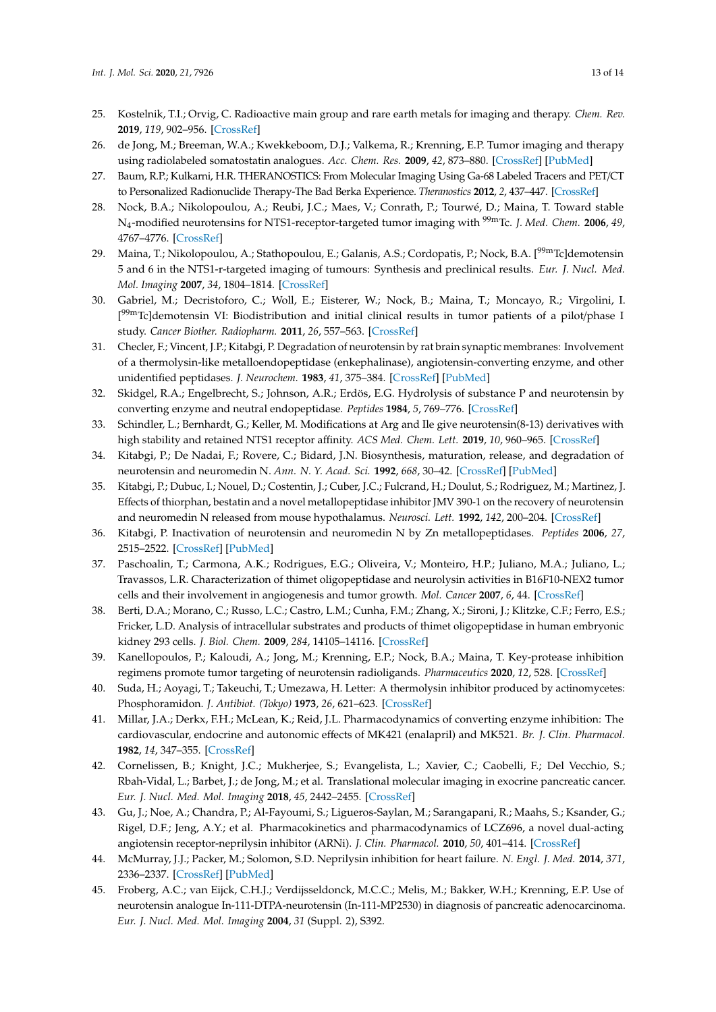- <span id="page-12-0"></span>25. Kostelnik, T.I.; Orvig, C. Radioactive main group and rare earth metals for imaging and therapy. *Chem. Rev.* **2019**, *119*, 902–956. [\[CrossRef\]](http://dx.doi.org/10.1021/acs.chemrev.8b00294)
- <span id="page-12-1"></span>26. de Jong, M.; Breeman, W.A.; Kwekkeboom, D.J.; Valkema, R.; Krenning, E.P. Tumor imaging and therapy using radiolabeled somatostatin analogues. *Acc. Chem. Res.* **2009**, *42*, 873–880. [\[CrossRef\]](http://dx.doi.org/10.1021/ar800188e) [\[PubMed\]](http://www.ncbi.nlm.nih.gov/pubmed/19445476)
- <span id="page-12-2"></span>27. Baum, R.P.; Kulkarni, H.R. THERANOSTICS: From Molecular Imaging Using Ga-68 Labeled Tracers and PET/CT to Personalized Radionuclide Therapy-The Bad Berka Experience. *Theranostics* **2012**, *2*, 437–447. [\[CrossRef\]](http://dx.doi.org/10.7150/thno.3645)
- <span id="page-12-3"></span>28. Nock, B.A.; Nikolopoulou, A.; Reubi, J.C.; Maes, V.; Conrath, P.; Tourwé, D.; Maina, T. Toward stable N<sup>4</sup> -modified neurotensins for NTS1-receptor-targeted tumor imaging with 99mTc. *J. Med. Chem.* **2006**, *49*, 4767–4776. [\[CrossRef\]](http://dx.doi.org/10.1021/jm060415g)
- <span id="page-12-4"></span>29. Maina, T.; Nikolopoulou, A.; Stathopoulou, E.; Galanis, A.S.; Cordopatis, P.; Nock, B.A. [<sup>99m</sup>Tc]demotensin 5 and 6 in the NTS1-r-targeted imaging of tumours: Synthesis and preclinical results. *Eur. J. Nucl. Med. Mol. Imaging* **2007**, *34*, 1804–1814. [\[CrossRef\]](http://dx.doi.org/10.1007/s00259-007-0489-z)
- <span id="page-12-5"></span>30. Gabriel, M.; Decristoforo, C.; Woll, E.; Eisterer, W.; Nock, B.; Maina, T.; Moncayo, R.; Virgolini, I. [<sup>99m</sup>Tc]demotensin VI: Biodistribution and initial clinical results in tumor patients of a pilot/phase I study. *Cancer Biother. Radiopharm.* **2011**, *26*, 557–563. [\[CrossRef\]](http://dx.doi.org/10.1089/cbr.2010.0952)
- <span id="page-12-6"></span>31. Checler, F.; Vincent, J.P.; Kitabgi, P. Degradation of neurotensin by rat brain synaptic membranes: Involvement of a thermolysin-like metalloendopeptidase (enkephalinase), angiotensin-converting enzyme, and other unidentified peptidases. *J. Neurochem.* **1983**, *41*, 375–384. [\[CrossRef\]](http://dx.doi.org/10.1111/j.1471-4159.1983.tb04753.x) [\[PubMed\]](http://www.ncbi.nlm.nih.gov/pubmed/6308159)
- <span id="page-12-17"></span>32. Skidgel, R.A.; Engelbrecht, S.; Johnson, A.R.; Erdös, E.G. Hydrolysis of substance P and neurotensin by converting enzyme and neutral endopeptidase. *Peptides* **1984**, *5*, 769–776. [\[CrossRef\]](http://dx.doi.org/10.1016/0196-9781(84)90020-2)
- 33. Schindler, L.; Bernhardt, G.; Keller, M. Modifications at Arg and Ile give neurotensin(8-13) derivatives with high stability and retained NTS1 receptor affinity. *ACS Med. Chem. Lett.* **2019**, *10*, 960–965. [\[CrossRef\]](http://dx.doi.org/10.1021/acsmedchemlett.9b00122)
- 34. Kitabgi, P.; De Nadai, F.; Rovere, C.; Bidard, J.N. Biosynthesis, maturation, release, and degradation of neurotensin and neuromedin N. *Ann. N. Y. Acad. Sci.* **1992**, *668*, 30–42. [\[CrossRef\]](http://dx.doi.org/10.1111/j.1749-6632.1992.tb27337.x) [\[PubMed\]](http://www.ncbi.nlm.nih.gov/pubmed/1463273)
- <span id="page-12-18"></span>35. Kitabgi, P.; Dubuc, I.; Nouel, D.; Costentin, J.; Cuber, J.C.; Fulcrand, H.; Doulut, S.; Rodriguez, M.; Martinez, J. Effects of thiorphan, bestatin and a novel metallopeptidase inhibitor JMV 390-1 on the recovery of neurotensin and neuromedin N released from mouse hypothalamus. *Neurosci. Lett.* **1992**, *142*, 200–204. [\[CrossRef\]](http://dx.doi.org/10.1016/0304-3940(92)90373-F)
- <span id="page-12-7"></span>36. Kitabgi, P. Inactivation of neurotensin and neuromedin N by Zn metallopeptidases. *Peptides* **2006**, *27*, 2515–2522. [\[CrossRef\]](http://dx.doi.org/10.1016/j.peptides.2005.12.017) [\[PubMed\]](http://www.ncbi.nlm.nih.gov/pubmed/16904239)
- <span id="page-12-8"></span>37. Paschoalin, T.; Carmona, A.K.; Rodrigues, E.G.; Oliveira, V.; Monteiro, H.P.; Juliano, M.A.; Juliano, L.; Travassos, L.R. Characterization of thimet oligopeptidase and neurolysin activities in B16F10-NEX2 tumor cells and their involvement in angiogenesis and tumor growth. *Mol. Cancer* **2007**, *6*, 44. [\[CrossRef\]](http://dx.doi.org/10.1186/1476-4598-6-44)
- <span id="page-12-9"></span>38. Berti, D.A.; Morano, C.; Russo, L.C.; Castro, L.M.; Cunha, F.M.; Zhang, X.; Sironi, J.; Klitzke, C.F.; Ferro, E.S.; Fricker, L.D. Analysis of intracellular substrates and products of thimet oligopeptidase in human embryonic kidney 293 cells. *J. Biol. Chem.* **2009**, *284*, 14105–14116. [\[CrossRef\]](http://dx.doi.org/10.1074/jbc.M807916200)
- <span id="page-12-10"></span>39. Kanellopoulos, P.; Kaloudi, A.; Jong, M.; Krenning, E.P.; Nock, B.A.; Maina, T. Key-protease inhibition regimens promote tumor targeting of neurotensin radioligands. *Pharmaceutics* **2020**, *12*, 528. [\[CrossRef\]](http://dx.doi.org/10.3390/pharmaceutics12060528)
- <span id="page-12-11"></span>40. Suda, H.; Aoyagi, T.; Takeuchi, T.; Umezawa, H. Letter: A thermolysin inhibitor produced by actinomycetes: Phosphoramidon. *J. Antibiot. (Tokyo)* **1973**, *26*, 621–623. [\[CrossRef\]](http://dx.doi.org/10.7164/antibiotics.26.621)
- <span id="page-12-12"></span>41. Millar, J.A.; Derkx, F.H.; McLean, K.; Reid, J.L. Pharmacodynamics of converting enzyme inhibition: The cardiovascular, endocrine and autonomic effects of MK421 (enalapril) and MK521. *Br. J. Clin. Pharmacol.* **1982**, *14*, 347–355. [\[CrossRef\]](http://dx.doi.org/10.1111/j.1365-2125.1982.tb01990.x)
- <span id="page-12-13"></span>42. Cornelissen, B.; Knight, J.C.; Mukherjee, S.; Evangelista, L.; Xavier, C.; Caobelli, F.; Del Vecchio, S.; Rbah-Vidal, L.; Barbet, J.; de Jong, M.; et al. Translational molecular imaging in exocrine pancreatic cancer. *Eur. J. Nucl. Med. Mol. Imaging* **2018**, *45*, 2442–2455. [\[CrossRef\]](http://dx.doi.org/10.1007/s00259-018-4146-5)
- <span id="page-12-14"></span>43. Gu, J.; Noe, A.; Chandra, P.; Al-Fayoumi, S.; Ligueros-Saylan, M.; Sarangapani, R.; Maahs, S.; Ksander, G.; Rigel, D.F.; Jeng, A.Y.; et al. Pharmacokinetics and pharmacodynamics of LCZ696, a novel dual-acting angiotensin receptor-neprilysin inhibitor (ARNi). *J. Clin. Pharmacol.* **2010**, *50*, 401–414. [\[CrossRef\]](http://dx.doi.org/10.1177/0091270009343932)
- <span id="page-12-15"></span>44. McMurray, J.J.; Packer, M.; Solomon, S.D. Neprilysin inhibition for heart failure. *N. Engl. J. Med.* **2014**, *371*, 2336–2337. [\[CrossRef\]](http://dx.doi.org/10.1056/NEJMoa1409077) [\[PubMed\]](http://www.ncbi.nlm.nih.gov/pubmed/25494275)
- <span id="page-12-16"></span>45. Froberg, A.C.; van Eijck, C.H.J.; Verdijsseldonck, M.C.C.; Melis, M.; Bakker, W.H.; Krenning, E.P. Use of neurotensin analogue In-111-DTPA-neurotensin (In-111-MP2530) in diagnosis of pancreatic adenocarcinoma. *Eur. J. Nucl. Med. Mol. Imaging* **2004**, *31* (Suppl. 2), S392.